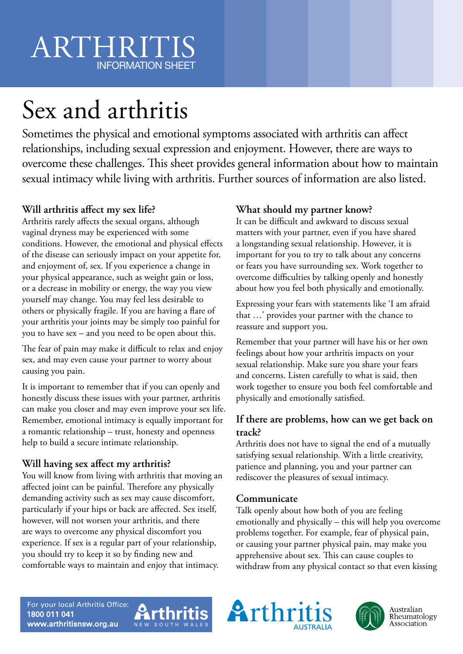## ARTHRIT INFORMATION SHEET

# Sex and arthritis

Sometimes the physical and emotional symptoms associated with arthritis can affect relationships, including sexual expression and enjoyment. However, there are ways to overcome these challenges. This sheet provides general information about how to maintain sexual intimacy while living with arthritis. Further sources of information are also listed.

### **Will arthritis affect my sex life?**

Arthritis rarely affects the sexual organs, although vaginal dryness may be experienced with some conditions. However, the emotional and physical effects of the disease can seriously impact on your appetite for, and enjoyment of, sex. If you experience a change in your physical appearance, such as weight gain or loss, or a decrease in mobility or energy, the way you view yourself may change. You may feel less desirable to others or physically fragile. If you are having a flare of your arthritis your joints may be simply too painful for you to have sex – and you need to be open about this.

The fear of pain may make it difficult to relax and enjoy sex, and may even cause your partner to worry about causing you pain.

It is important to remember that if you can openly and honestly discuss these issues with your partner, arthritis can make you closer and may even improve your sex life. Remember, emotional intimacy is equally important for a romantic relationship – trust, honesty and openness help to build a secure intimate relationship.

### **Will having sex affect my arthritis?**

You will know from living with arthritis that moving an affected joint can be painful. Therefore any physically demanding activity such as sex may cause discomfort, particularly if your hips or back are affected. Sex itself, however, will not worsen your arthritis, and there are ways to overcome any physical discomfort you experience. If sex is a regular part of your relationship, you should try to keep it so by finding new and comfortable ways to maintain and enjoy that intimacy.

### **What should my partner know?**

It can be difficult and awkward to discuss sexual matters with your partner, even if you have shared a longstanding sexual relationship. However, it is important for you to try to talk about any concerns or fears you have surrounding sex. Work together to overcome difficulties by talking openly and honestly about how you feel both physically and emotionally.

Expressing your fears with statements like 'I am afraid that …' provides your partner with the chance to reassure and support you.

Remember that your partner will have his or her own feelings about how your arthritis impacts on your sexual relationship. Make sure you share your fears and concerns. Listen carefully to what is said, then work together to ensure you both feel comfortable and physically and emotionally satisfied.

### **If there are problems, how can we get back on track?**

Arthritis does not have to signal the end of a mutually satisfying sexual relationship. With a little creativity, patience and planning, you and your partner can rediscover the pleasures of sexual intimacy.

### **Communicate**

Talk openly about how both of you are feeling emotionally and physically – this will help you overcome problems together. For example, fear of physical pain, or causing your partner physical pain, may make you apprehensive about sex. This can cause couples to withdraw from any physical contact so that even kissing